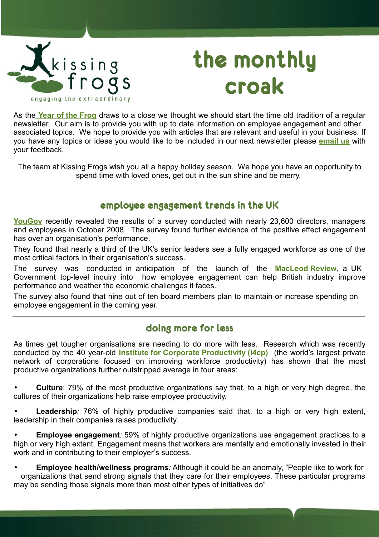

# **the monthly croak**

As the **[Year of the Frog](http://www.oranawildlifepark.co.nz/frog_crisis/frog.htm)** draws to a close we thought we should start the time old tradition of a regular newsletter. Our aim is to provide you with up to date information on employee engagement and other associated topics. We hope to provide you with articles that are relevant and useful in your business. If you have any topics or ideas you would like to be included in our next newsletter please **[email us](mailto:newsletter@kissingfrogs.co.nz?subject=Newsletter%20Idea)** with your feedback.

The team at Kissing Frogs wish you all a happy holiday season. We hope you have an opportunity to spend time with loved ones, get out in the sun shine and be merry.

# **employee engagement trends in the UK**

[YouGov](http://en.wikipedia.org/wiki/YouGov) recently revealed the results of a survey conducted with nearly 23,600 directors, managers and employees in October 2008. The survey found further evidence of the positive effect engagement has over an organisation's performance.

They found that nearly a third of the UK's senior leaders see a fully engaged workforce as one of the most critical factors in their organisation's success.

The survey was conducted in anticipation of the launch of the **[MacLeod Review](http://nds.coi.gov.uk/environment/fullDetail.asp?ReleaseID=379446&NewsAreaID=2&NavigatedFromDepartment=True)**, a UK Government top-level inquiry into how employee engagement can help British industry improve performance and weather the economic challenges it faces.

The survey also found that nine out of ten board members plan to maintain or increase spending on employee engagement in the coming year.

# **doing more for less**

As times get tougher organisations are needing to do more with less. Research which was recently conducted by the 40 year-old **[Institute for Corporate Productivity \(i4cp\)](http://www.i4cp.com/)** (the world's largest private network of corporations focused on improving workforce productivity) has shown that the most productive organizations further outstripped average in four areas:

• **Culture**: 79% of the most productive organizations say that, to a high or very high degree, the cultures of their organizations help raise employee productivity.

• **Leadership***:* 76% of highly productive companies said that, to a high or very high extent, leadership in their companies raises productivity.

• **Employee engagement***:* 59% of highly productive organizations use engagement practices to a high or very high extent. Engagement means that workers are mentally and emotionally invested in their work and in contributing to their employer's success.

• **Employee health/wellness programs***:* Although it could be an anomaly, "People like to work for organizations that send strong signals that they care for their employees. These particular programs may be sending those signals more than most other types of initiatives do"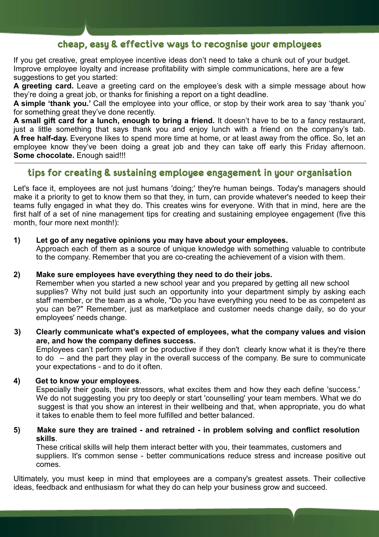# **cheap, easy & effective ways to recognise your employees**

If you get creative, great employee incentive ideas don't need to take a chunk out of your budget. Improve employee loyalty and increase profitability with simple communications, here are a few suggestions to get you started:

**A greeting card.** Leave a greeting card on the employee's desk with a simple message about how they're doing a great job, or thanks for finishing a report on a tight deadline.

**A simple 'thank you.'** Call the employee into your office, or stop by their work area to say 'thank you' for something great they've done recently.

**A small gift card for a lunch, enough to bring a friend.** It doesn't have to be to a fancy restaurant, just a little something that says thank you and enjoy lunch with a friend on the company's tab. **A free half-day.** Everyone likes to spend more time at home, or at least away from the office. So, let an employee know they've been doing a great job and they can take off early this Friday afternoon. **Some chocolate.** Enough said!!!

# **tips for creating & sustaining employee engagement in your organisation**

Let's face it, employees are not just humans 'doing;' they're human beings. Today's managers should make it a priority to get to know them so that they, in turn, can provide whatever's needed to keep their teams fully engaged in what they do. This creates wins for everyone. With that in mind, here are the first half of a set of nine management tips for creating and sustaining employee engagement (five this month, four more next month!):

#### **1) Let go of any negative opinions you may have about your employees.**

Approach each of them as a source of unique knowledge with something valuable to contribute to the company. Remember that you are co-creating the achievement of a vision with them.

#### **2) Make sure employees have everything they need to do their jobs.**

Remember when you started a new school year and you prepared by getting all new school supplies? Why not build just such an opportunity into your department simply by asking each staff member, or the team as a whole, "Do you have everything you need to be as competent as you can be?" Remember, just as marketplace and customer needs change daily, so do your employees' needs change.

#### **3) Clearly communicate what's expected of employees, what the company values and vision are, and how the company defines success.**

Employees can't perform well or be productive if they don't clearly know what it is they're there to do – and the part they play in the overall success of the company. Be sure to communicate your expectations - and to do it often.

#### **4) Get to know your employees**.

Especially their goals, their stressors, what excites them and how they each define 'success.' We do not suggesting you pry too deeply or start 'counselling' your team members. What we do suggest is that you show an interest in their wellbeing and that, when appropriate, you do what it takes to enable them to feel more fulfilled and better balanced.

#### **5) Make sure they are trained - and retrained - in problem solving and conflict resolution skills**.

These critical skills will help them interact better with you, their teammates, customers and suppliers. It's common sense - better communications reduce stress and increase positive out comes.

Ultimately, you must keep in mind that employees are a company's greatest assets. Their collective ideas, feedback and enthusiasm for what they do can help your business grow and succeed.